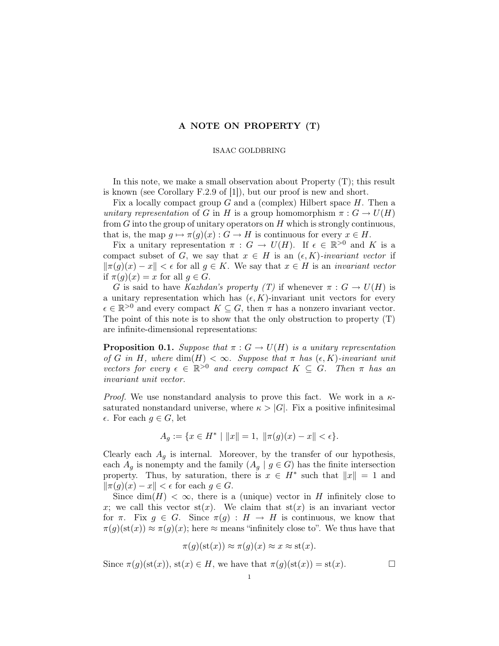## A NOTE ON PROPERTY (T)

## ISAAC GOLDBRING

In this note, we make a small observation about Property (T); this result is known (see Corollary F.2.9 of [1]), but our proof is new and short.

Fix a locally compact group  $G$  and a (complex) Hilbert space  $H$ . Then a unitary representation of G in H is a group homomorphism  $\pi: G \to U(H)$ from  $G$  into the group of unitary operators on  $H$  which is strongly continuous, that is, the map  $q \mapsto \pi(q)(x) : G \to H$  is continuous for every  $x \in H$ .

Fix a unitary representation  $\pi : G \to U(H)$ . If  $\epsilon \in \mathbb{R}^{>0}$  and K is a compact subset of G, we say that  $x \in H$  is an  $(\epsilon, K)$ -invariant vector if  $\|\pi(q)(x) - x\| < \epsilon$  for all  $q \in K$ . We say that  $x \in H$  is an *invariant vector* if  $\pi(g)(x) = x$  for all  $g \in G$ .

G is said to have Kazhdan's property (T) if whenever  $\pi: G \to U(H)$  is a unitary representation which has  $(\epsilon, K)$ -invariant unit vectors for every  $\epsilon \in \mathbb{R}^{>0}$  and every compact  $K \subseteq G$ , then  $\pi$  has a nonzero invariant vector. The point of this note is to show that the only obstruction to property (T) are infinite-dimensional representations:

**Proposition 0.1.** Suppose that  $\pi: G \to U(H)$  is a unitary representation of G in H, where  $\dim(H) < \infty$ . Suppose that  $\pi$  has  $(\epsilon, K)$ -invariant unit vectors for every  $\epsilon \in \mathbb{R}^{>0}$  and every compact  $K \subseteq G$ . Then  $\pi$  has an invariant unit vector.

*Proof.* We use nonstandard analysis to prove this fact. We work in a  $\kappa$ saturated nonstandard universe, where  $\kappa > |G|$ . Fix a positive infinitesimal  $\epsilon$ . For each  $g \in G$ , let

$$
A_g := \{ x \in H^* \mid ||x|| = 1, \ ||\pi(g)(x) - x|| < \epsilon \}.
$$

Clearly each  $A_q$  is internal. Moreover, by the transfer of our hypothesis, each  $A_g$  is nonempty and the family  $(A_g | g \in G)$  has the finite intersection property. Thus, by saturation, there is  $x \in H^*$  such that  $||x|| = 1$  and  $\|\pi(q)(x) - x\| < \epsilon$  for each  $q \in G$ .

Since  $\dim(H) < \infty$ , there is a (unique) vector in H infinitely close to x; we call this vector  $\text{st}(x)$ . We claim that  $\text{st}(x)$  is an invariant vector for  $\pi$ . Fix  $g \in G$ . Since  $\pi(g) : H \to H$  is continuous, we know that  $\pi(g)(\operatorname{st}(x)) \approx \pi(g)(x)$ ; here  $\approx$  means "infinitely close to". We thus have that

$$
\pi(g)(\mathrm{st}(x)) \approx \pi(g)(x) \approx x \approx \mathrm{st}(x).
$$

Since  $\pi(g)(\operatorname{st}(x))$ ,  $\operatorname{st}(x) \in H$ , we have that  $\pi(g)(\operatorname{st}(x)) = \operatorname{st}(x)$ .